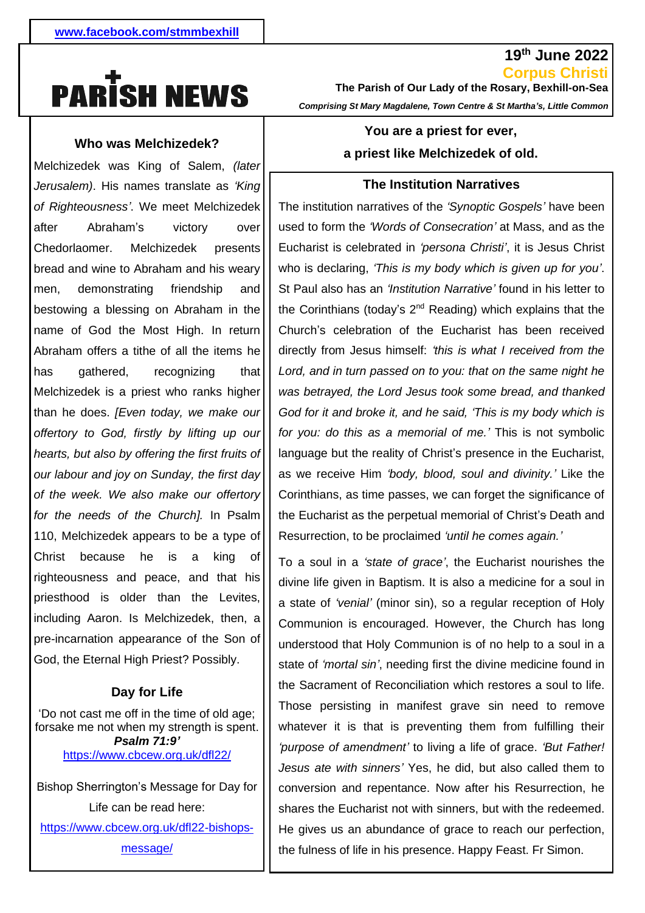# **PARISH NEWS**

## **Who was Melchizedek?**

1 bread and wine to Abraham and his weary  men, demonstrating friendship and - name of God the Most High. In return gathered. Melchizedek was King of Salem, *(later Jerusalem)*. His names translate as *'King of Righteousness'*. We meet Melchizedek after Abraham's victory over Chedorlaomer. Melchizedek presents bestowing a blessing on Abraham in the Abraham offers a tithe of all the items he has gathered, recognizing that Melchizedek is a priest who ranks higher than he does. *[Even today, we make our offertory to God, firstly by lifting up our hearts, but also by offering the first fruits of our labour and joy on Sunday, the first day of the week. We also make our offertory for the needs of the Church].* In Psalm 110, Melchizedek appears to be a type of Christ because he is a king of righteousness and peace, and that his priesthood is older than the Levites, including Aaron. Is Melchizedek, then, a pre-incarnation appearance of the Son of God, the Eternal High Priest? Possibly.

### **Day for Life**

'Do not cast me off in the time of old age; forsake me not when my strength is spent. *Psalm 71:9'* <https://www.cbcew.org.uk/dfl22/>

Bishop Sherrington's Message for Day for Life can be read here: [https://www.cbcew.org.uk/dfl22-bishops-](https://www.cbcew.org.uk/dfl22-bishops-message/)

[message/](https://www.cbcew.org.uk/dfl22-bishops-message/)

**Corpus Christi The Parish of Our Lady of the Rosary, Bexhill-on-Sea**  *Comprising St Mary Magdalene, Town Centre & St Martha's, Little Common*

**19th June 2022**

# **You are a priest for ever, a priest like Melchizedek of old.**

## **The Institution Narratives**

*.* the Eucharist as the perpetual memorial of Christ's Death and The institution narratives of the *'Synoptic Gospels'* have been used to form the *'Words of Consecration'* at Mass, and as the Eucharist is celebrated in *'persona Christi'*, it is Jesus Christ who is declaring, *'This is my body which is given up for you'*. St Paul also has an *'Institution Narrative'* found in his letter to the Corinthians (today's 2<sup>nd</sup> Reading) which explains that the Church's celebration of the Eucharist has been received directly from Jesus himself: *'this is what I received from the Lord, and in turn passed on to you: that on the same night he was betrayed, the Lord Jesus took some bread, and thanked God for it and broke it, and he said, 'This is my body which is for you: do this as a memorial of me.'* This is not symbolic language but the reality of Christ's presence in the Eucharist, as we receive Him *'body, blood, soul and divinity.'* Like the Corinthians, as time passes, we can forget the significance of Resurrection, to be proclaimed *'until he comes again.'*

To a soul in a *'state of grace'*, the Eucharist nourishes the divine life given in Baptism. It is also a medicine for a soul in a state of *'venial'* (minor sin), so a regular reception of Holy Communion is encouraged. However, the Church has long understood that Holy Communion is of no help to a soul in a state of *'mortal sin'*, needing first the divine medicine found in the Sacrament of Reconciliation which restores a soul to life. Those persisting in manifest grave sin need to remove whatever it is that is preventing them from fulfilling their *'purpose of amendment'* to living a life of grace. *'But Father! Jesus ate with sinners'* Yes, he did, but also called them to conversion and repentance. Now after his Resurrection, he shares the Eucharist not with sinners, but with the redeemed. He gives us an abundance of grace to reach our perfection, the fulness of life in his presence. Happy Feast. Fr Simon.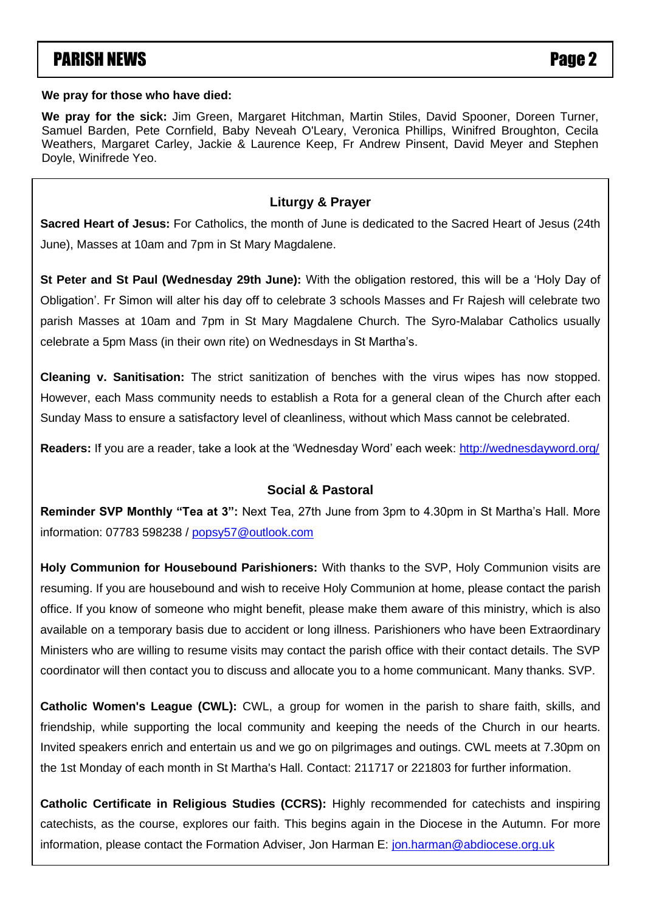# **PARISH NEWS** PARISH NEWS

#### **We pray for those who have died:**

**We pray for the sick:** Jim Green, Margaret Hitchman, Martin Stiles, David Spooner, Doreen Turner, Samuel Barden, Pete Cornfield, Baby Neveah O'Leary, Veronica Phillips, Winifred Broughton, Cecila Weathers, Margaret Carley, Jackie & Laurence Keep, Fr Andrew Pinsent, David Meyer and Stephen Doyle, Winifrede Yeo.

# **Liturgy & Prayer**

**Sacred Heart of Jesus:** For Catholics, the month of June is dedicated to the Sacred Heart of Jesus (24th June), Masses at 10am and 7pm in St Mary Magdalene.

Obligation'. Fr Simon will alter his day off to celebrate 3 schools Masses and Fr Rajesh will celebrate two parish Masses at 10am and 7pm in St Mary Magdalene Church. The Syro-Malabar Catholics usually  $B^{\text{c}}$  Calobrato a 5pm Mass (in their cum rite) on Wednesdays in St Martha's celebrate a 5pm Mass (in their own rite) on Wednesdays in St Martha's. **St Peter and St Paul (Wednesday 29th June):** With the obligation restored, this will be a 'Holy Day of

Cleaning v. Sanitisation: The strict sanitization of benches with the virus wipes has now stopped. McNaughton, Samira Mayal, Mary Murphy, Dora Nolan, Harry Nolan, Doreen O'Donovan, Roisin O'Donovan, Jane However, each Mass community needs to establish a Rota for a general clean of the Church after each Sunday Mass to ensure a satisfactory level of cleanliness, without which Mass cannot be celebrated. Twambley, Anne & Dick Whittington and Desmond Woolf. Sunday Mass to ensure a satisfactory level of cleanliness, without which Mass cannot be celebrated.

**Readers:** If you are a reader, take a look at the 'Wednesday Word' each week: <u>http://wednesdayword.org</u>/

# **Social & Pastoral**

**Reminder SVP Monthly "Tea at 3":** Next Tea, 27th June from 3pm to 4.30pm in St Martha's Hall. More information: 07783 598238 / [popsy57@outlook.com](mailto:popsy57@outlook.com)

**Holy Communion for Housebound Parishioners:** With thanks to the SVP, Holy Communion visits are resuming. If you are housebound and wish to receive Holy Communion at home, please contact the parish office. If you know of someone who might benefit, please make them aware of this ministry, which is also available on a temporary basis due to accident or long illness. Parishioners who have been Extraordinary Ministers who are willing to resume visits may contact the parish office with their contact details. The SVP coordinator will then contact you to discuss and allocate you to a home communicant. Many thanks. SVP.

**Catholic Women's League (CWL):** CWL, a group for women in the parish to share faith, skills, and friendship, while supporting the local community and keeping the needs of the Church in our hearts. Invited speakers enrich and entertain us and we go on pilgrimages and outings. CWL meets at 7.30pm on the 1st Monday of each month in St Martha's Hall. Contact: 211717 or 221803 for further information.

**Catholic Certificate in Religious Studies (CCRS):** Highly recommended for catechists and inspiring catechists, as the course, explores our faith. This begins again in the Diocese in the Autumn. For more information, please contact the Formation Adviser, Jon Harman E: [jon.harman@abdiocese.org.uk](mailto:jon.harman@abdiocese.org.uk)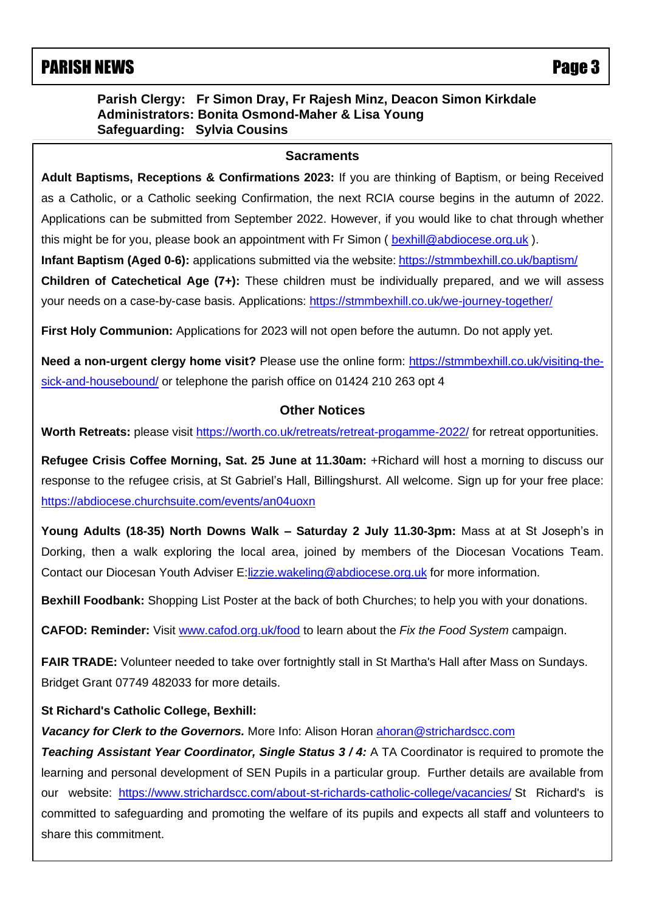# PARISH NEWS **PARISH NEWS**

# **Parish Clergy: Fr Simon Dray, Fr Rajesh Minz, Deacon Simon Kirkdale Administrators: Bonita Osmond-Maher & Lisa Young Safeguarding: Sylvia Cousins**

#### **Sacraments**

 Applications can be submitted from September 2022. However, if you would like to chat through whether **Adult Baptisms, Receptions & Confirmations 2023:** If you are thinking of Baptism, or being Received as a Catholic, or a Catholic seeking Confirmation, the next RCIA course begins in the autumn of 2022. this might be for you, please book an appointment with Fr Simon ( [bexhill@abdiocese.org.uk](mailto:bexhill@abdiocese.org.uk) ).

**Infant Baptism (Aged 0-6):** applications submitted via the website: <https://stmmbexhill.co.uk/baptism/> **Children of Catechetical Age (7+):** These children must be individually prepared, and we will assess

your needs on a case-by-case basis. Applications:<https://stmmbexhill.co.uk/we-journey-together/>

**First Holy Communion:** Applications for 2023 will not open before the autumn. Do not apply yet.

Need a non-urgent clergy home visit? Please use the online form: [https://stmmbexhill.co.uk/visiting-the](https://stmmbexhill.co.uk/visiting-the-sick-and-housebound/)[sick-and-housebound/](https://stmmbexhill.co.uk/visiting-the-sick-and-housebound/) or telephone the parish office on 01424 210 263 opt 4

## **Other Notices**

Worth Retreats: please visit<https://worth.co.uk/retreats/retreat-progamme-2022/> for retreat opportunities.

**Refugee Crisis Coffee Morning, Sat. 25 June at 11.30am:** +Richard will host a morning to discuss our response to the refugee crisis, at St Gabriel's Hall, Billingshurst. All welcome. Sign up for your free place: <https://abdiocese.churchsuite.com/events/an04uoxn>

**Young Adults (18-35) North Downs Walk – Saturday 2 July 11.30-3pm:** Mass at at St Joseph's in Dorking, then a walk exploring the local area, joined by members of the Diocesan Vocations Team. Contact our Diocesan Youth Adviser E[:lizzie.wakeling@abdiocese.org.uk](mailto:lizzie.wakeling@abdiocese.org.uk) for more information.

**Bexhill Foodbank:** Shopping List Poster at the back of both Churches; to help you with your donations.

**CAFOD: Reminder:** Visit [www.cafod.org.uk/food](https://eur02.safelinks.protection.outlook.com/?url=http%3A%2F%2Fwww.cafod.org.uk%2Ffood&data=05%7C01%7Cbexhill%40abdiocese.org.uk%7C6be6b5a54e8c4b4bc8b508da327c18f2%7C2bf5dbc217ef4efca1c9ab2dc4edefd0%7C0%7C0%7C637877805824442840%7CUnknown%7CTWFpbGZsb3d8eyJWIjoiMC4wLjAwMDAiLCJQIjoiV2luMzIiLCJBTiI6Ik1haWwiLCJXVCI6Mn0%3D%7C3000%7C%7C%7C&sdata=8Rky4y2lcBaPuozVOd3FDfQLJV0RB7JDYGaB8Vf%2Bs5g%3D&reserved=0) to learn about the *Fix the Food System* campaign.

**FAIR TRADE:** Volunteer needed to take over fortnightly stall in St Martha's Hall after Mass on Sundays. Bridget Grant 07749 482033 for more details.

# **St Richard's Catholic College, Bexhill:**

*Vacancy for Clerk to the Governors.* More Info: Alison Horan [ahoran@strichardscc.com](mailto:ahoran@strichardscc.com)

**Teaching Assistant Year Coordinator, Single Status 3/4:** A TA Coordinator is required to promote the learning and personal development of SEN Pupils in a particular group. Further details are available from our website: [https://www.strichardscc.com/about-st-richards-catholic-college/vacancies/](https://eur02.safelinks.protection.outlook.com/?url=https%3A%2F%2Fwww.strichardscc.com%2Fabout-st-richards-catholic-college%2Fvacancies%2F&data=05%7C01%7Cbexhill%40abdiocese.org.uk%7C11ac68a551254528e29b08da4d46b537%7C2bf5dbc217ef4efca1c9ab2dc4edefd0%7C0%7C0%7C637907263324697558%7CUnknown%7CTWFpbGZsb3d8eyJWIjoiMC4wLjAwMDAiLCJQIjoiV2luMzIiLCJBTiI6Ik1haWwiLCJXVCI6Mn0%3D%7C2000%7C%7C%7C&sdata=8RQEIwF0bxsD%2F3zpPqkxuxxQc%2FctyiHCkdXBRb1aqXA%3D&reserved=0) St Richard's is committed to safeguarding and promoting the welfare of its pupils and expects all staff and volunteers to share this commitment.